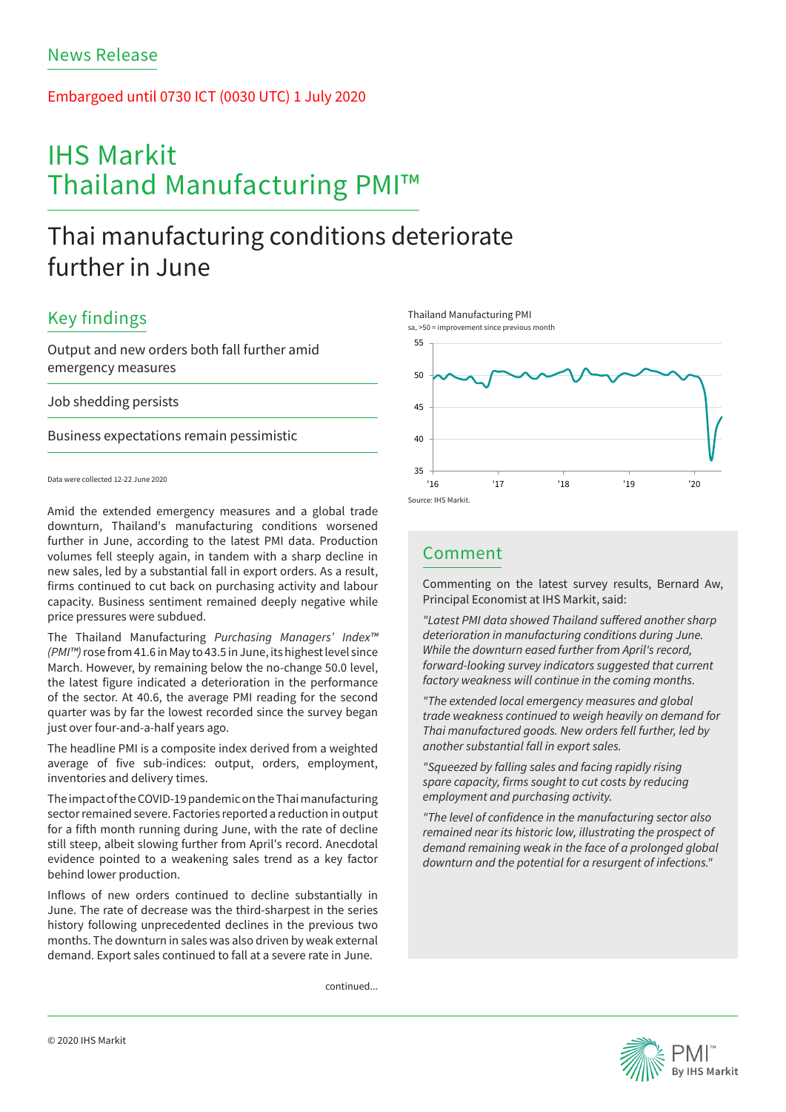## Embargoed until 0730 ICT (0030 UTC) 1 July 2020

# IHS Markit Thailand Manufacturing PMI™

## Thai manufacturing conditions deteriorate further in June

## Key findings

Output and new orders both fall further amid emergency measures

Job shedding persists

Business expectations remain pessimistic

Data were collected 12-22 June 2020

Amid the extended emergency measures and a global trade downturn, Thailand's manufacturing conditions worsened further in June, according to the latest PMI data. Production volumes fell steeply again, in tandem with a sharp decline in new sales, led by a substantial fall in export orders. As a result, firms continued to cut back on purchasing activity and labour capacity. Business sentiment remained deeply negative while price pressures were subdued.

The Thailand Manufacturing *Purchasing Managers' Index™ (PMI™)* rose from 41.6 in May to 43.5 in June, its highest level since March. However, by remaining below the no-change 50.0 level, the latest figure indicated a deterioration in the performance of the sector. At 40.6, the average PMI reading for the second quarter was by far the lowest recorded since the survey began just over four-and-a-half years ago.

The headline PMI is a composite index derived from a weighted average of five sub-indices: output, orders, employment, inventories and delivery times.

The impact of the COVID-19 pandemic on the Thai manufacturing sector remained severe. Factories reported a reduction in output for a fifth month running during June, with the rate of decline still steep, albeit slowing further from April's record. Anecdotal evidence pointed to a weakening sales trend as a key factor behind lower production.

Inflows of new orders continued to decline substantially in June. The rate of decrease was the third-sharpest in the series history following unprecedented declines in the previous two months. The downturn in sales was also driven by weak external demand. Export sales continued to fall at a severe rate in June.

continued...







## Comment

Commenting on the latest survey results, Bernard Aw, Principal Economist at IHS Markit, said:

*"Latest PMI data showed Thailand suffered another sharp deterioration in manufacturing conditions during June. While the downturn eased further from April's record, forward-looking survey indicators suggested that current factory weakness will continue in the coming months.*

*"The extended local emergency measures and global trade weakness continued to weigh heavily on demand for Thai manufactured goods. New orders fell further, led by another substantial fall in export sales.*

*"Squeezed by falling sales and facing rapidly rising spare capacity, firms sought to cut costs by reducing employment and purchasing activity.*

*"The level of confidence in the manufacturing sector also remained near its historic low, illustrating the prospect of demand remaining weak in the face of a prolonged global downturn and the potential for a resurgent of infections."*